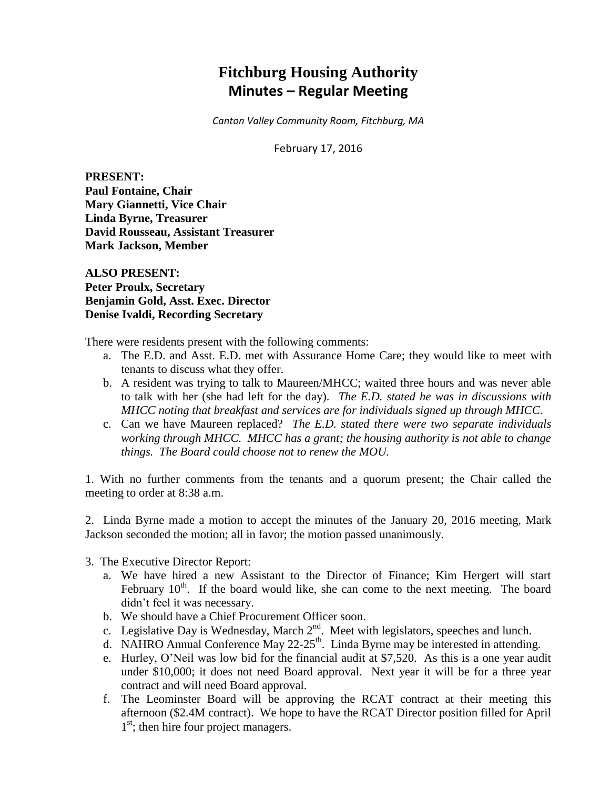# **Fitchburg Housing Authority Minutes – Regular Meeting**

*Canton Valley Community Room, Fitchburg, MA*

February 17, 2016

**PRESENT: Paul Fontaine, Chair Mary Giannetti, Vice Chair Linda Byrne, Treasurer David Rousseau, Assistant Treasurer Mark Jackson, Member**

**ALSO PRESENT: Peter Proulx, Secretary Benjamin Gold, Asst. Exec. Director Denise Ivaldi, Recording Secretary**

There were residents present with the following comments:

- a. The E.D. and Asst. E.D. met with Assurance Home Care; they would like to meet with tenants to discuss what they offer.
- b. A resident was trying to talk to Maureen/MHCC; waited three hours and was never able to talk with her (she had left for the day). *The E.D. stated he was in discussions with MHCC noting that breakfast and services are for individuals signed up through MHCC.*
- c. Can we have Maureen replaced? *The E.D. stated there were two separate individuals working through MHCC. MHCC has a grant; the housing authority is not able to change things. The Board could choose not to renew the MOU.*

1. With no further comments from the tenants and a quorum present; the Chair called the meeting to order at 8:38 a.m.

2. Linda Byrne made a motion to accept the minutes of the January 20, 2016 meeting, Mark Jackson seconded the motion; all in favor; the motion passed unanimously.

- 3. The Executive Director Report:
	- a. We have hired a new Assistant to the Director of Finance; Kim Hergert will start February  $10^{th}$ . If the board would like, she can come to the next meeting. The board didn't feel it was necessary.
	- b. We should have a Chief Procurement Officer soon.
	- c. Legislative Day is Wednesday, March  $2<sup>nd</sup>$ . Meet with legislators, speeches and lunch.
	- d. NAHRO Annual Conference May  $22-25$ <sup>th</sup>. Linda Byrne may be interested in attending.
	- e. Hurley, O'Neil was low bid for the financial audit at \$7,520. As this is a one year audit under \$10,000; it does not need Board approval. Next year it will be for a three year contract and will need Board approval.
	- f. The Leominster Board will be approving the RCAT contract at their meeting this afternoon (\$2.4M contract). We hope to have the RCAT Director position filled for April 1<sup>st</sup>; then hire four project managers.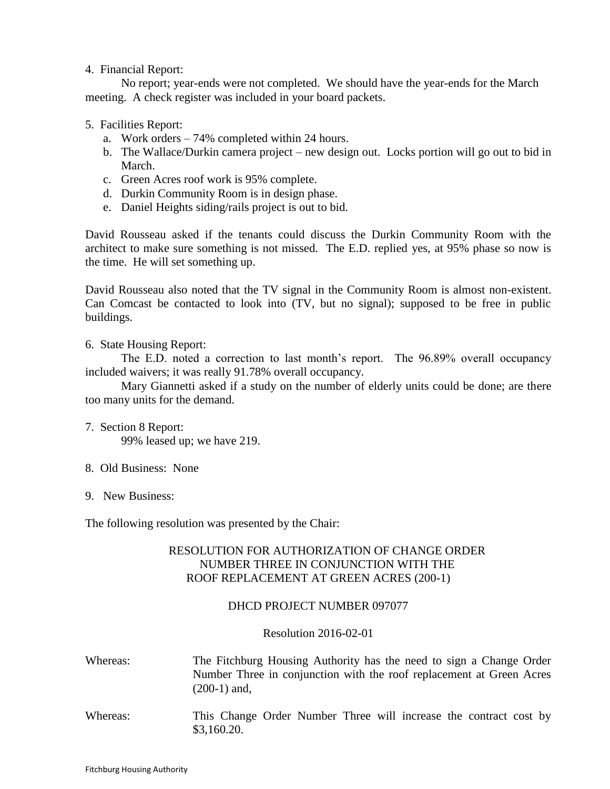### 4. Financial Report:

No report; year-ends were not completed. We should have the year-ends for the March meeting. A check register was included in your board packets.

## 5. Facilities Report:

- a. Work orders 74% completed within 24 hours.
- b. The Wallace/Durkin camera project new design out. Locks portion will go out to bid in March.
- c. Green Acres roof work is 95% complete.
- d. Durkin Community Room is in design phase.
- e. Daniel Heights siding/rails project is out to bid.

David Rousseau asked if the tenants could discuss the Durkin Community Room with the architect to make sure something is not missed. The E.D. replied yes, at 95% phase so now is the time. He will set something up.

David Rousseau also noted that the TV signal in the Community Room is almost non-existent. Can Comcast be contacted to look into (TV, but no signal); supposed to be free in public buildings.

## 6. State Housing Report:

The E.D. noted a correction to last month's report. The 96.89% overall occupancy included waivers; it was really 91.78% overall occupancy.

Mary Giannetti asked if a study on the number of elderly units could be done; are there too many units for the demand.

- 7. Section 8 Report: 99% leased up; we have 219.
- 8. Old Business: None
- 9. New Business:

The following resolution was presented by the Chair:

## RESOLUTION FOR AUTHORIZATION OF CHANGE ORDER NUMBER THREE IN CONJUNCTION WITH THE ROOF REPLACEMENT AT GREEN ACRES (200-1)

## DHCD PROJECT NUMBER 097077

## Resolution 2016-02-01

- Whereas: The Fitchburg Housing Authority has the need to sign a Change Order Number Three in conjunction with the roof replacement at Green Acres (200-1) and,
- Whereas: This Change Order Number Three will increase the contract cost by \$3,160.20.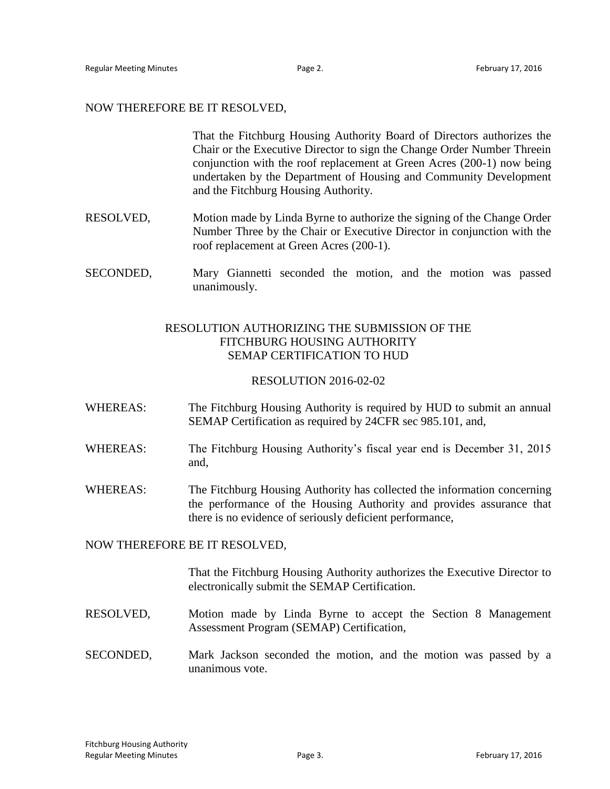#### NOW THEREFORE BE IT RESOLVED,

That the Fitchburg Housing Authority Board of Directors authorizes the Chair or the Executive Director to sign the Change Order Number Threein conjunction with the roof replacement at Green Acres (200-1) now being undertaken by the Department of Housing and Community Development and the Fitchburg Housing Authority.

- RESOLVED, Motion made by Linda Byrne to authorize the signing of the Change Order Number Three by the Chair or Executive Director in conjunction with the roof replacement at Green Acres (200-1).
- SECONDED, Mary Giannetti seconded the motion, and the motion was passed unanimously.

## RESOLUTION AUTHORIZING THE SUBMISSION OF THE FITCHBURG HOUSING AUTHORITY SEMAP CERTIFICATION TO HUD

#### RESOLUTION 2016-02-02

- WHEREAS: The Fitchburg Housing Authority is required by HUD to submit an annual SEMAP Certification as required by 24CFR sec 985.101, and,
- WHEREAS: The Fitchburg Housing Authority's fiscal year end is December 31, 2015 and,
- WHEREAS: The Fitchburg Housing Authority has collected the information concerning the performance of the Housing Authority and provides assurance that there is no evidence of seriously deficient performance,

#### NOW THEREFORE BE IT RESOLVED,

That the Fitchburg Housing Authority authorizes the Executive Director to electronically submit the SEMAP Certification.

- RESOLVED, Motion made by Linda Byrne to accept the Section 8 Management Assessment Program (SEMAP) Certification,
- SECONDED, Mark Jackson seconded the motion, and the motion was passed by a unanimous vote.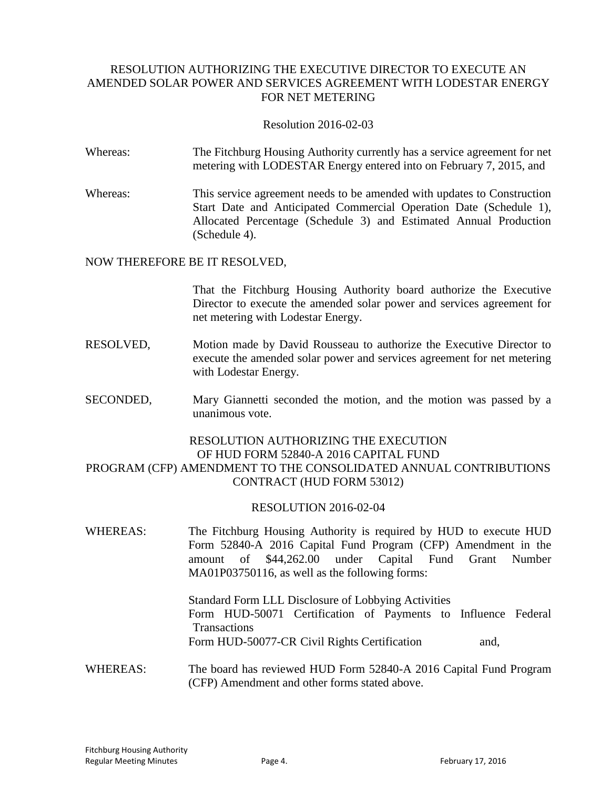# RESOLUTION AUTHORIZING THE EXECUTIVE DIRECTOR TO EXECUTE AN AMENDED SOLAR POWER AND SERVICES AGREEMENT WITH LODESTAR ENERGY FOR NET METERING

### Resolution 2016-02-03

- Whereas: The Fitchburg Housing Authority currently has a service agreement for net metering with LODESTAR Energy entered into on February 7, 2015, and
- Whereas: This service agreement needs to be amended with updates to Construction Start Date and Anticipated Commercial Operation Date (Schedule 1), Allocated Percentage (Schedule 3) and Estimated Annual Production (Schedule 4).

#### NOW THEREFORE BE IT RESOLVED,

That the Fitchburg Housing Authority board authorize the Executive Director to execute the amended solar power and services agreement for net metering with Lodestar Energy.

- RESOLVED, Motion made by David Rousseau to authorize the Executive Director to execute the amended solar power and services agreement for net metering with Lodestar Energy.
- SECONDED, Mary Giannetti seconded the motion, and the motion was passed by a unanimous vote.

# RESOLUTION AUTHORIZING THE EXECUTION OF HUD FORM 52840-A 2016 CAPITAL FUND PROGRAM (CFP) AMENDMENT TO THE CONSOLIDATED ANNUAL CONTRIBUTIONS CONTRACT (HUD FORM 53012)

#### RESOLUTION 2016-02-04

WHEREAS: The Fitchburg Housing Authority is required by HUD to execute HUD Form 52840-A 2016 Capital Fund Program (CFP) Amendment in the amount of \$44,262.00 under Capital Fund Grant Number MA01P03750116, as well as the following forms:

> Standard Form LLL Disclosure of Lobbying Activities Form HUD-50071 Certification of Payments to Influence Federal **Transactions** Form HUD-50077-CR Civil Rights Certification and,

#### WHEREAS: The board has reviewed HUD Form 52840-A 2016 Capital Fund Program (CFP) Amendment and other forms stated above.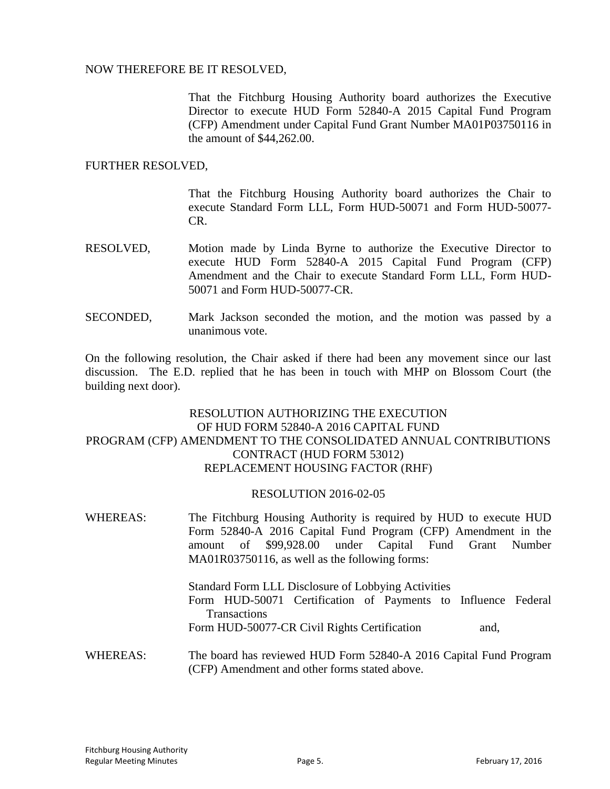## NOW THEREFORE BE IT RESOLVED,

That the Fitchburg Housing Authority board authorizes the Executive Director to execute HUD Form 52840-A 2015 Capital Fund Program (CFP) Amendment under Capital Fund Grant Number MA01P03750116 in the amount of \$44,262.00.

#### FURTHER RESOLVED,

That the Fitchburg Housing Authority board authorizes the Chair to execute Standard Form LLL, Form HUD-50071 and Form HUD-50077- CR.

- RESOLVED, Motion made by Linda Byrne to authorize the Executive Director to execute HUD Form 52840-A 2015 Capital Fund Program (CFP) Amendment and the Chair to execute Standard Form LLL, Form HUD-50071 and Form HUD-50077-CR.
- SECONDED, Mark Jackson seconded the motion, and the motion was passed by a unanimous vote.

On the following resolution, the Chair asked if there had been any movement since our last discussion. The E.D. replied that he has been in touch with MHP on Blossom Court (the building next door).

# RESOLUTION AUTHORIZING THE EXECUTION OF HUD FORM 52840-A 2016 CAPITAL FUND PROGRAM (CFP) AMENDMENT TO THE CONSOLIDATED ANNUAL CONTRIBUTIONS CONTRACT (HUD FORM 53012) REPLACEMENT HOUSING FACTOR (RHF)

# RESOLUTION 2016-02-05

WHEREAS: The Fitchburg Housing Authority is required by HUD to execute HUD Form 52840-A 2016 Capital Fund Program (CFP) Amendment in the amount of \$99,928.00 under Capital Fund Grant Number MA01R03750116, as well as the following forms: Standard Form LLL Disclosure of Lobbying Activities Form HUD-50071 Certification of Payments to Influence Federal **Transactions** Form HUD-50077-CR Civil Rights Certification and, WHEREAS: The board has reviewed HUD Form 52840-A 2016 Capital Fund Program (CFP) Amendment and other forms stated above.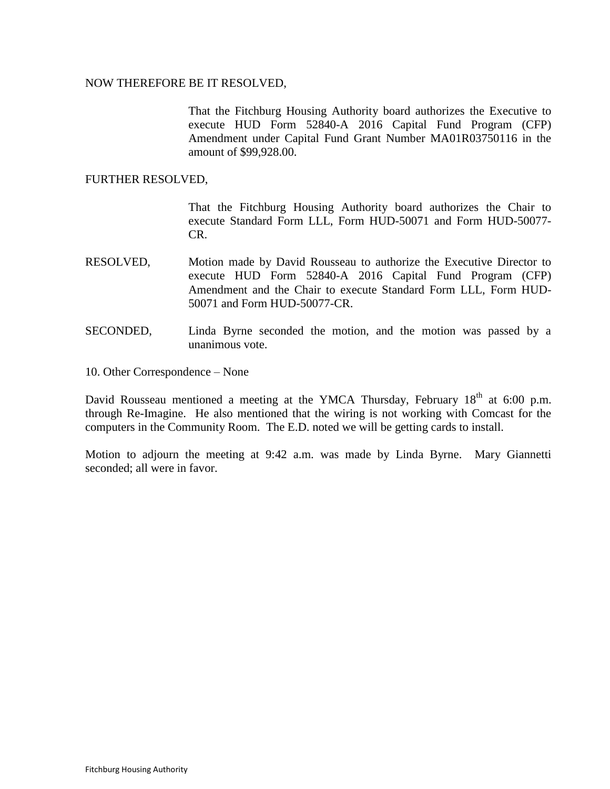#### NOW THEREFORE BE IT RESOLVED,

That the Fitchburg Housing Authority board authorizes the Executive to execute HUD Form 52840-A 2016 Capital Fund Program (CFP) Amendment under Capital Fund Grant Number MA01R03750116 in the amount of \$99,928.00.

#### FURTHER RESOLVED,

That the Fitchburg Housing Authority board authorizes the Chair to execute Standard Form LLL, Form HUD-50071 and Form HUD-50077- CR.

- RESOLVED, Motion made by David Rousseau to authorize the Executive Director to execute HUD Form 52840-A 2016 Capital Fund Program (CFP) Amendment and the Chair to execute Standard Form LLL, Form HUD-50071 and Form HUD-50077-CR.
- SECONDED, Linda Byrne seconded the motion, and the motion was passed by a unanimous vote.
- 10. Other Correspondence None

David Rousseau mentioned a meeting at the YMCA Thursday, February  $18<sup>th</sup>$  at 6:00 p.m. through Re-Imagine. He also mentioned that the wiring is not working with Comcast for the computers in the Community Room. The E.D. noted we will be getting cards to install.

Motion to adjourn the meeting at 9:42 a.m. was made by Linda Byrne. Mary Giannetti seconded; all were in favor.